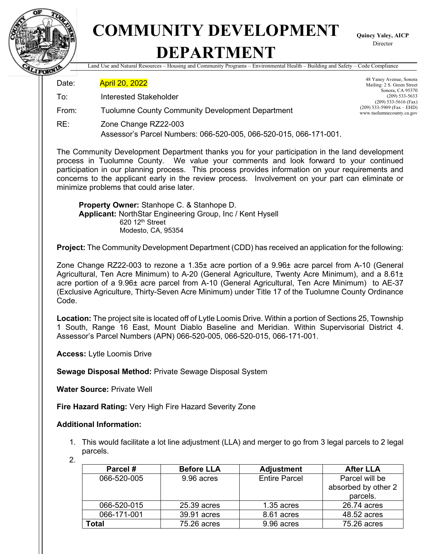

## **COMMUNITY DEVELOPMENT DEPARTMENT**

**Quincy Yaley, AICP** Director

Land Use and Natural Resources – Housing and Community Programs – Environmental Health – Building and Safety – Code Compliance

Date: **April 20, 2022** 

- To: Interested Stakeholder
- From: Tuolumne County Community Development Department
- RE: Zone Change RZ22-003 Assessor's Parcel Numbers: 066-520-005, 066-520-015, 066-171-001.

The Community Development Department thanks you for your participation in the land development process in Tuolumne County. We value your comments and look forward to your continued participation in our planning process. This process provides information on your requirements and concerns to the applicant early in the review process. Involvement on your part can eliminate or minimize problems that could arise later.

**Property Owner:** Stanhope C. & Stanhope D. **Applicant:** NorthStar Engineering Group, Inc / Kent Hysell 620 12th Street Modesto, CA, 95354

**Project:** The Community Development Department (CDD) has received an application for the following:

Zone Change RZ22-003 to rezone a 1.35± acre portion of a 9.96± acre parcel from A-10 (General Agricultural, Ten Acre Minimum) to A-20 (General Agriculture, Twenty Acre Minimum), and a 8.61± acre portion of a 9.96± acre parcel from A-10 (General Agricultural, Ten Acre Minimum) to AE-37 (Exclusive Agriculture, Thirty-Seven Acre Minimum) under Title 17 of the Tuolumne County Ordinance Code.

**Location:** The project site is located off of Lytle Loomis Drive. Within a portion of Sections 25, Township 1 South, Range 16 East, Mount Diablo Baseline and Meridian. Within Supervisorial District 4. Assessor's Parcel Numbers (APN) 066-520-005, 066-520-015, 066-171-001.

**Access:** Lytle Loomis Drive

**Sewage Disposal Method:** Private Sewage Disposal System

**Water Source:** Private Well

**Fire Hazard Rating:** Very High Fire Hazard Severity Zone

## **Additional Information:**

1. This would facilitate a lot line adjustment (LLA) and merger to go from 3 legal parcels to 2 legal parcels.

<sup>2.</sup>

| Parcel #    | <b>Before LLA</b> | <b>Adjustment</b>    | <b>After LLA</b>    |
|-------------|-------------------|----------------------|---------------------|
| 066-520-005 | 9.96 acres        | <b>Entire Parcel</b> | Parcel will be      |
|             |                   |                      | absorbed by other 2 |
|             |                   |                      | parcels.            |
| 066-520-015 | 25.39 acres       | $1.35$ acres         | 26.74 acres         |
| 066-171-001 | 39.91 acres       | 8.61 acres           | 48.52 acres         |
| Total       | 75.26 acres       | 9.96 acres           | 75.26 acres         |

48 Yaney Avenue, Sonora Mailing: 2 S. Green Street Sonora, CA 95370 (209) 533-5633 (209) 533-5616 (Fax)  $(209)$  533-5909 (Fax – EHD) www.tuolumnecounty.ca.gov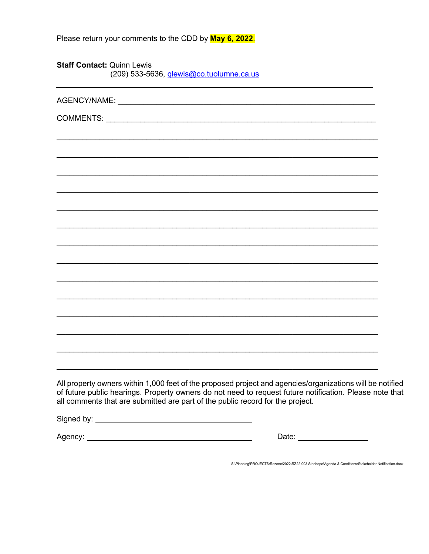| Please return your comments to the CDD by May 6, 2022. |  |
|--------------------------------------------------------|--|
|--------------------------------------------------------|--|

**Staff Contact: Quinn Lewis** (209) 533-5636, *glewis@co.tuolumne.ca.us* 

| All property owners within 1,000 feet of the proposed project and agencies/organizations will be notified<br>of future public hearings. Property owners do not need to request future notification. Please note that<br>all comments that are submitted are part of the public record for the project. |                          |  |
|--------------------------------------------------------------------------------------------------------------------------------------------------------------------------------------------------------------------------------------------------------------------------------------------------------|--------------------------|--|
|                                                                                                                                                                                                                                                                                                        |                          |  |
|                                                                                                                                                                                                                                                                                                        | Date: __________________ |  |

S:\Planning\PROJECTS\Rezone\2022\RZ22-003 Stanhope\Agenda & Conditions\Stakeholder Notification.docx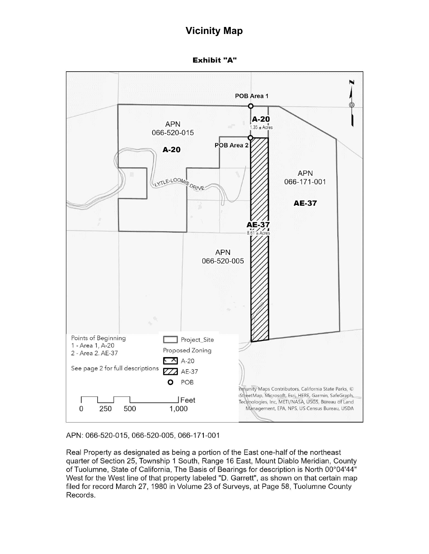## **Vicinity Map**

**Exhibit "A"** 



APN: 066-520-015, 066-520-005, 066-171-001

Real Property as designated as being a portion of the East one-half of the northeast quarter of Section 25, Township 1 South, Range 16 East, Mount Diablo Meridian, County of Tuolumne, State of California, The Basis of Bearings for description is North 00°04'44" West for the West line of that property labeled "D. Garrett", as shown on that certain map filed for record March 27, 1980 in Volume 23 of Surveys, at Page 58, Tuolumne County Records.